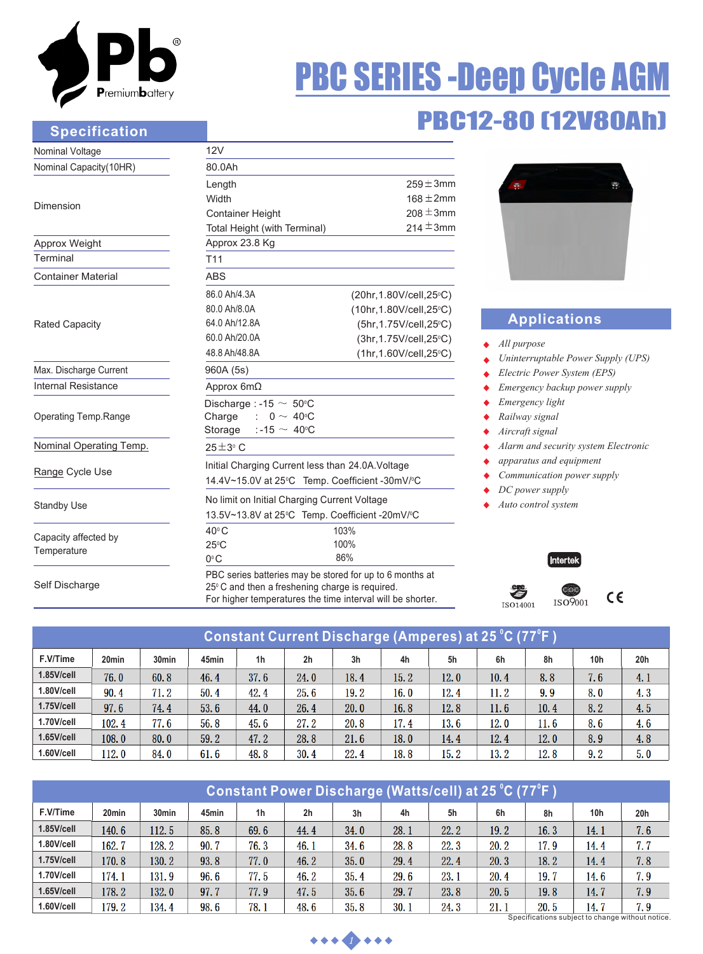

### **Specification**

# PBC SERIES -Deep Cycle AGM

# PBC12-80 (12V80Ah)

| Nominal Voltage                     | 12V                                                                                                                                                                      |                                                                                                                                       |                                           |  |  |  |  |
|-------------------------------------|--------------------------------------------------------------------------------------------------------------------------------------------------------------------------|---------------------------------------------------------------------------------------------------------------------------------------|-------------------------------------------|--|--|--|--|
| Nominal Capacity(10HR)              | 80.0Ah                                                                                                                                                                   |                                                                                                                                       |                                           |  |  |  |  |
| Dimension                           | Length<br>Width                                                                                                                                                          | $259 \pm 3$ mm<br>$168 \pm 2$ mm                                                                                                      | ÷                                         |  |  |  |  |
|                                     | <b>Container Height</b><br>Total Height (with Terminal)                                                                                                                  | $208 \pm 3$ mm<br>214 $\pm$ 3mm                                                                                                       |                                           |  |  |  |  |
| Approx Weight                       | Approx 23.8 Kg                                                                                                                                                           |                                                                                                                                       |                                           |  |  |  |  |
| Terminal                            | T <sub>11</sub>                                                                                                                                                          |                                                                                                                                       |                                           |  |  |  |  |
| <b>Container Material</b>           | <b>ABS</b>                                                                                                                                                               |                                                                                                                                       |                                           |  |  |  |  |
| <b>Rated Capacity</b>               | 86.0 Ah/4.3A<br>80.0 Ah/8.0A<br>64.0 Ah/12.8A<br>60.0 Ah/20.0A<br>48.8 Ah/48.8A                                                                                          | (20hr, 1.80V/cell, 25°C)<br>(10hr, 1.80V/cell, 25°C)<br>(5hr, 1.75V/cell, 25°C)<br>(3hr, 1.75V/cell, 25°C)<br>(1hr, 1.60V/cell, 25°C) | Appli<br>All purpose<br>Uninterrupt       |  |  |  |  |
| Max. Discharge Current              | 960A (5s)                                                                                                                                                                |                                                                                                                                       | Electric Poy                              |  |  |  |  |
| Internal Resistance                 | Approx $6m\Omega$                                                                                                                                                        |                                                                                                                                       | Emergency                                 |  |  |  |  |
| Operating Temp.Range                | Discharge : -15 $\sim$ 50°C<br>Charge<br>$0 \sim 40^{\circ}$ C<br>Storage $: -15 \sim 40^{\circ}$ C                                                                      |                                                                                                                                       | Emergency<br>Railway sig<br>Aircraft sign |  |  |  |  |
| Nominal Operating Temp.             | $25 \pm 3$ °C                                                                                                                                                            |                                                                                                                                       | Alarm and s                               |  |  |  |  |
| Range Cycle Use                     | Initial Charging Current less than 24.0A. Voltage<br>14.4V~15.0V at 25°C Temp. Coefficient -30mV/°C                                                                      |                                                                                                                                       |                                           |  |  |  |  |
| <b>Standby Use</b>                  | No limit on Initial Charging Current Voltage<br>13.5V~13.8V at 25°C Temp. Coefficient -20mV/°C                                                                           |                                                                                                                                       |                                           |  |  |  |  |
| Capacity affected by<br>Temperature | $40^{\circ}$ C<br>103%<br>100%<br>$25^{\circ}$ C<br>86%<br>$0^{\circ}$ C                                                                                                 |                                                                                                                                       |                                           |  |  |  |  |
| Self Discharge                      | PBC series batteries may be stored for up to 6 months at<br>25°C and then a freshening charge is required.<br>For higher temperatures the time interval will be shorter. |                                                                                                                                       |                                           |  |  |  |  |



## **Applications**

- 
- *uning Power Supply (UPS)*
- *Electric Power System (EPS)*
- backup power supply
- *light*
- *Railway signal*
- *Aircraft signal*
- *Alarm and security system Electronic*
- *apparatus and equipment*
- *Communication power supply*
- *supply*
- *Auto control system*



| Constant Current Discharge (Amperes) at 25 °C (77°F ) |                   |                   |       |                |                |                |      |      |      |      |     |     |
|-------------------------------------------------------|-------------------|-------------------|-------|----------------|----------------|----------------|------|------|------|------|-----|-----|
| F.V/Time                                              | 20 <sub>min</sub> | 30 <sub>min</sub> | 45min | 1 <sub>h</sub> | 2 <sub>h</sub> | 3 <sub>h</sub> | 4h   | 5h   | 6h   | 8h   | 10h | 20h |
| 1.85V/cell                                            | 76.0              | 60.8              | 46.4  | 37.6           | 24.0           | 18.4           | 15.2 | 12.0 | 10.4 | 8.8  | 7.6 | 4.1 |
| 1.80V/cell                                            | 90.4              | 71.2              | 50.4  | 42.4           | 25.6           | 19. 2          | 16.0 | 12.4 | 11.2 | 9.9  | 8.0 | 4.3 |
| 1.75V/cell                                            | 97.6              | 74.4              | 53.6  | 44.0           | 26.4           | 20.0           | 16.8 | 12.8 | 11.6 | 10.4 | 8.2 | 4.5 |
| 1.70V/cell                                            | 102.4             | 77.6              | 56.8  | 45.6           | 27.2           | 20.8           | 17.4 | 13.6 | 12.0 | 11.6 | 8.6 | 4.6 |
| $1.65$ V/cell                                         | 108.0             | 80.0              | 59.2  | 47.2           | 28.8           | 21.6           | 18.0 | 14.4 | 12.4 | 12.0 | 8.9 | 4.8 |
| 1.60V/cell                                            | 112.0             | 84.0              | 61.6  | 48.8           | 30.4           | 22.4           | 18.8 | 15.2 | 13.2 | 12.8 | 9.2 | 5.0 |

| Constant Power Discharge (Watts/cell) at 25 °C (77°F) |                   |                   |       |                |                |      |      |      |      |      |       |     |
|-------------------------------------------------------|-------------------|-------------------|-------|----------------|----------------|------|------|------|------|------|-------|-----|
| F.V/Time                                              | 20 <sub>min</sub> | 30 <sub>min</sub> | 45min | 1 <sub>h</sub> | 2 <sub>h</sub> | 3h   | 4h   | 5h   | 6h   | 8h   | 10h   | 20h |
| 1.85V/cell                                            | 140.6             | 112.5             | 85.8  | 69.6           | 44.4           | 34.0 | 28.1 | 22.2 | 19.2 | 16.3 | 14. 1 | 7.6 |
| 1.80V/cell                                            | 162.7             | 128.2             | 90.7  | 76.3           | 46.1           | 34.6 | 28.8 | 22.3 | 20.2 | 17.9 | 14.4  | 7.7 |
| 1.75V/cell                                            | 170.8             | 130.2             | 93.8  | 77.0           | 46.2           | 35.0 | 29.4 | 22.4 | 20.3 | 18.2 | 14.4  | 7.8 |
| 1.70V/cell                                            | 174.1             | 131.9             | 96.6  | 77.5           | 46.2           | 35.4 | 29.6 | 23.1 | 20.4 | 19.7 | 14.6  | 7.9 |
| 1.65V/cell                                            | 178.2             | 132.0             | 97.7  | 77.9           | 47.5           | 35.6 | 29.7 | 23.8 | 20.5 | 19.8 | 14.7  | 7.9 |
| 1.60V/cell                                            | 179.2             | 134.4             | 98.6  | 78.1           | 48.6           | 35.8 | 30.1 | 24.3 | 21.1 | 20.5 | 14.7  | 7.9 |

Specifications subject to change without notice.